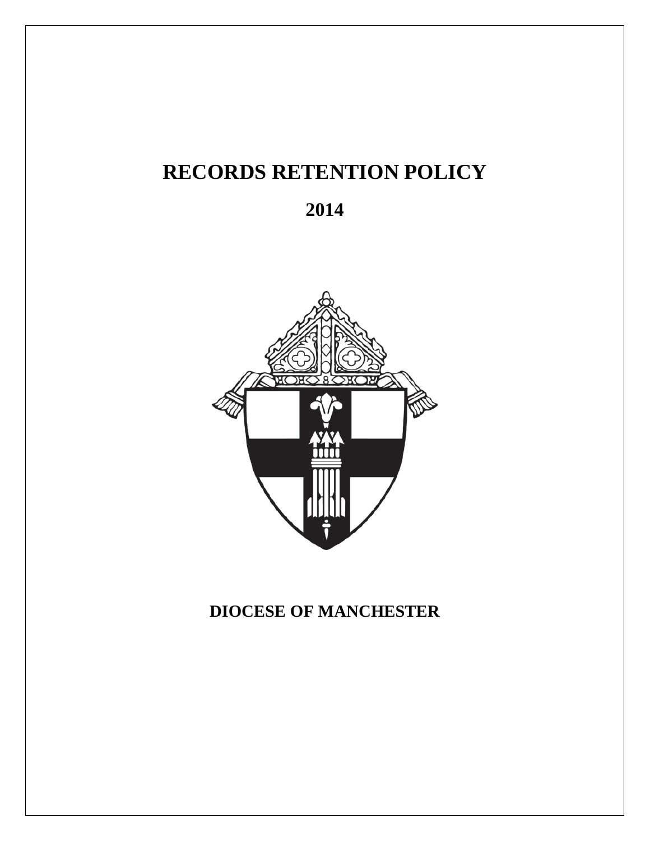# **RECORDS RETENTION POLICY**





# **DIOCESE OF MANCHESTER**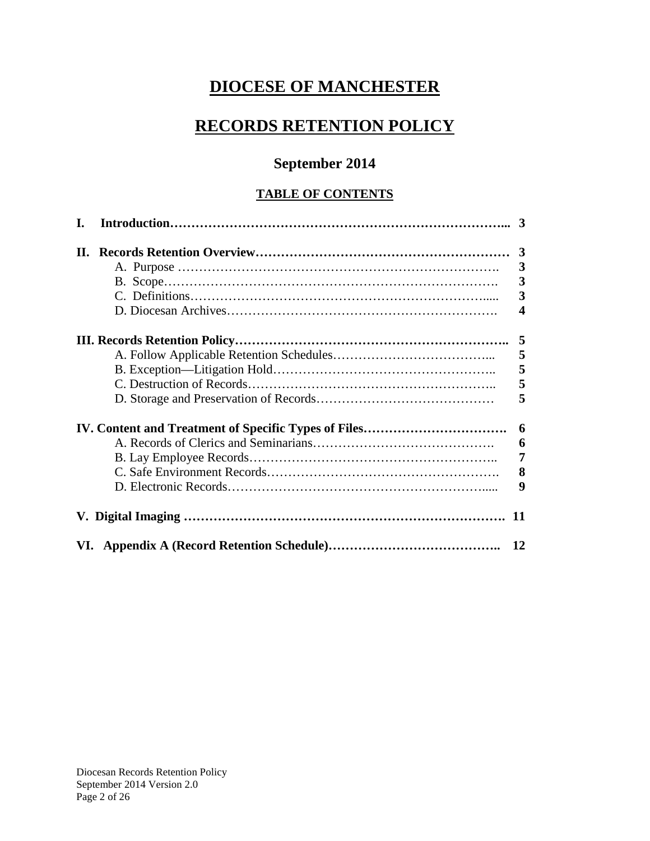# **DIOCESE OF MANCHESTER**

# **RECORDS RETENTION POLICY**

### **September 2014**

#### **TABLE OF CONTENTS**

| L. |                         |
|----|-------------------------|
| H. |                         |
|    | 3                       |
|    | 3                       |
|    | $\overline{\mathbf{3}}$ |
|    | $\overline{\mathbf{4}}$ |
|    | 5                       |
|    | 5                       |
|    | 5                       |
|    | 5                       |
|    | 5                       |
|    | 6                       |
|    | 6                       |
|    | $\overline{7}$          |
|    | 8                       |
|    | 9                       |
|    | 11                      |
|    | 12                      |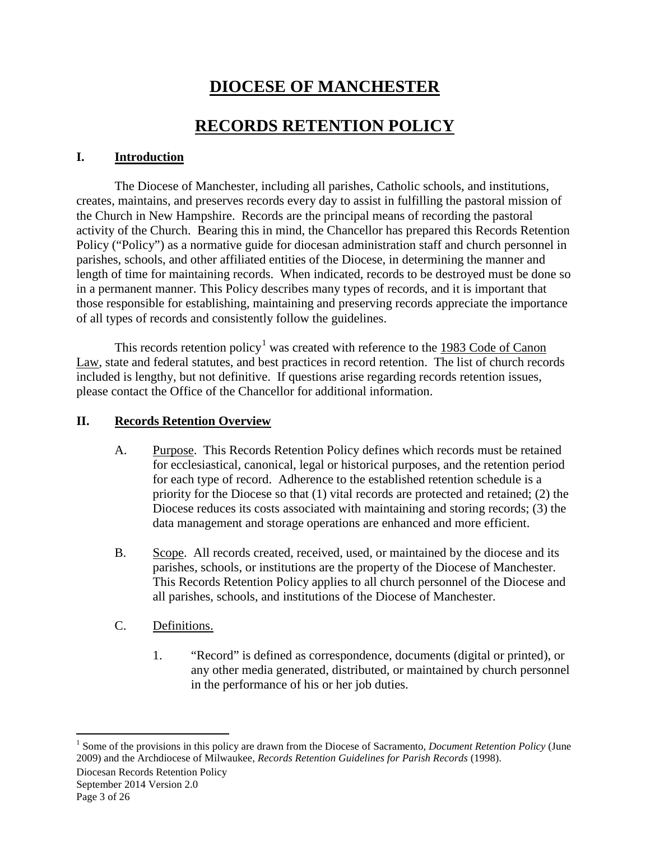# **DIOCESE OF MANCHESTER**

## **RECORDS RETENTION POLICY**

#### **I. Introduction**

The Diocese of Manchester, including all parishes, Catholic schools, and institutions, creates, maintains, and preserves records every day to assist in fulfilling the pastoral mission of the Church in New Hampshire. Records are the principal means of recording the pastoral activity of the Church. Bearing this in mind, the Chancellor has prepared this Records Retention Policy ("Policy") as a normative guide for diocesan administration staff and church personnel in parishes, schools, and other affiliated entities of the Diocese, in determining the manner and length of time for maintaining records. When indicated, records to be destroyed must be done so in a permanent manner. This Policy describes many types of records, and it is important that those responsible for establishing, maintaining and preserving records appreciate the importance of all types of records and consistently follow the guidelines.

This records retention policy<sup>[1](#page-2-0)</sup> was created with reference to the  $1983$  Code of Canon Law, state and federal statutes, and best practices in record retention. The list of church records included is lengthy, but not definitive. If questions arise regarding records retention issues, please contact the Office of the Chancellor for additional information.

#### **II. Records Retention Overview**

- A. Purpose. This Records Retention Policy defines which records must be retained for ecclesiastical, canonical, legal or historical purposes, and the retention period for each type of record. Adherence to the established retention schedule is a priority for the Diocese so that (1) vital records are protected and retained; (2) the Diocese reduces its costs associated with maintaining and storing records; (3) the data management and storage operations are enhanced and more efficient.
- B. Scope. All records created, received, used, or maintained by the diocese and its parishes, schools, or institutions are the property of the Diocese of Manchester. This Records Retention Policy applies to all church personnel of the Diocese and all parishes, schools, and institutions of the Diocese of Manchester.
- C. Definitions.
	- 1. "Record" is defined as correspondence, documents (digital or printed), or any other media generated, distributed, or maintained by church personnel in the performance of his or her job duties.

Diocesan Records Retention Policy September 2014 Version 2.0

<span id="page-2-0"></span> <sup>1</sup> Some of the provisions in this policy are drawn from the Diocese of Sacramento, *Document Retention Policy* (June 2009) and the Archdiocese of Milwaukee, *Records Retention Guidelines for Parish Records* (1998).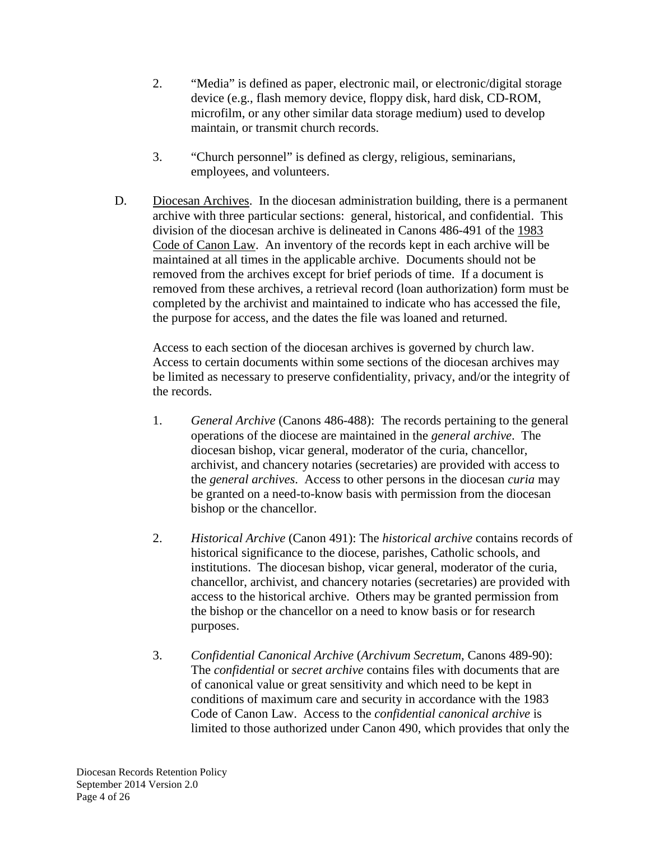- 2. "Media" is defined as paper, electronic mail, or electronic/digital storage device (e.g., flash memory device, floppy disk, hard disk, CD-ROM, microfilm, or any other similar data storage medium) used to develop maintain, or transmit church records.
- 3. "Church personnel" is defined as clergy, religious, seminarians, employees, and volunteers.
- D. Diocesan Archives. In the diocesan administration building, there is a permanent archive with three particular sections: general, historical, and confidential. This division of the diocesan archive is delineated in Canons 486-491 of the 1983 Code of Canon Law. An inventory of the records kept in each archive will be maintained at all times in the applicable archive. Documents should not be removed from the archives except for brief periods of time. If a document is removed from these archives, a retrieval record (loan authorization) form must be completed by the archivist and maintained to indicate who has accessed the file, the purpose for access, and the dates the file was loaned and returned.

Access to each section of the diocesan archives is governed by church law. Access to certain documents within some sections of the diocesan archives may be limited as necessary to preserve confidentiality, privacy, and/or the integrity of the records.

- 1. *General Archive* (Canons 486-488): The records pertaining to the general operations of the diocese are maintained in the *general archive*. The diocesan bishop, vicar general, moderator of the curia, chancellor, archivist, and chancery notaries (secretaries) are provided with access to the *general archives*. Access to other persons in the diocesan *curia* may be granted on a need-to-know basis with permission from the diocesan bishop or the chancellor.
- 2. *Historical Archive* (Canon 491): The *historical archive* contains records of historical significance to the diocese, parishes, Catholic schools, and institutions. The diocesan bishop, vicar general, moderator of the curia, chancellor, archivist, and chancery notaries (secretaries) are provided with access to the historical archive. Others may be granted permission from the bishop or the chancellor on a need to know basis or for research purposes.
- 3. *Confidential Canonical Archive* (*Archivum Secretum*, Canons 489-90): The *confidential* or *secret archive* contains files with documents that are of canonical value or great sensitivity and which need to be kept in conditions of maximum care and security in accordance with the 1983 Code of Canon Law. Access to the *confidential canonical archive* is limited to those authorized under Canon 490, which provides that only the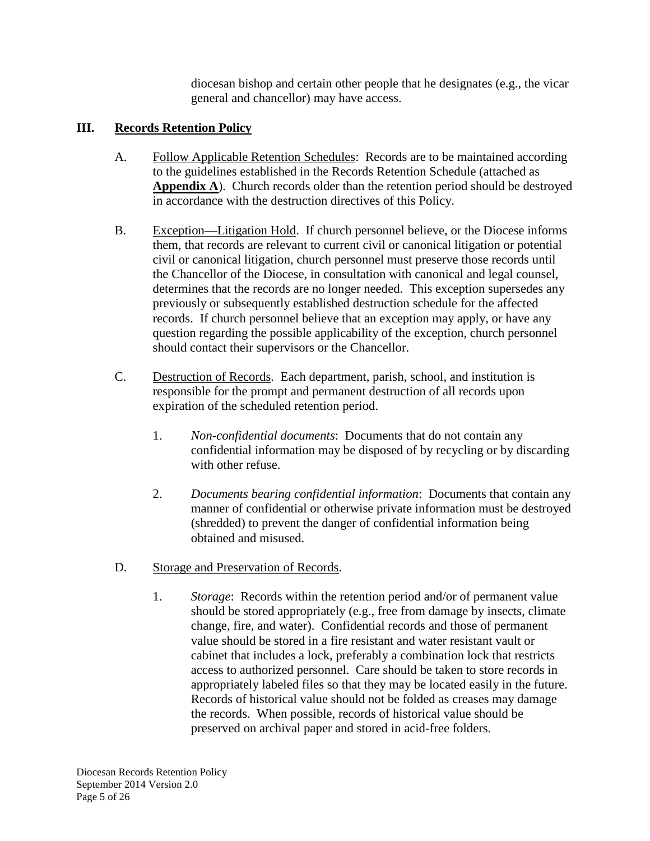diocesan bishop and certain other people that he designates (e.g., the vicar general and chancellor) may have access.

#### **III. Records Retention Policy**

- A. Follow Applicable Retention Schedules: Records are to be maintained according to the guidelines established in the Records Retention Schedule (attached as **Appendix A**). Church records older than the retention period should be destroyed in accordance with the destruction directives of this Policy.
- B. Exception—Litigation Hold. If church personnel believe, or the Diocese informs them, that records are relevant to current civil or canonical litigation or potential civil or canonical litigation, church personnel must preserve those records until the Chancellor of the Diocese, in consultation with canonical and legal counsel, determines that the records are no longer needed. This exception supersedes any previously or subsequently established destruction schedule for the affected records. If church personnel believe that an exception may apply, or have any question regarding the possible applicability of the exception, church personnel should contact their supervisors or the Chancellor.
- C. Destruction of Records. Each department, parish, school, and institution is responsible for the prompt and permanent destruction of all records upon expiration of the scheduled retention period.
	- 1. *Non-confidential documents*: Documents that do not contain any confidential information may be disposed of by recycling or by discarding with other refuse.
	- 2. *Documents bearing confidential information*: Documents that contain any manner of confidential or otherwise private information must be destroyed (shredded) to prevent the danger of confidential information being obtained and misused.
- D. Storage and Preservation of Records.
	- 1. *Storage*: Records within the retention period and/or of permanent value should be stored appropriately (e.g., free from damage by insects, climate change, fire, and water). Confidential records and those of permanent value should be stored in a fire resistant and water resistant vault or cabinet that includes a lock, preferably a combination lock that restricts access to authorized personnel. Care should be taken to store records in appropriately labeled files so that they may be located easily in the future. Records of historical value should not be folded as creases may damage the records. When possible, records of historical value should be preserved on archival paper and stored in acid-free folders.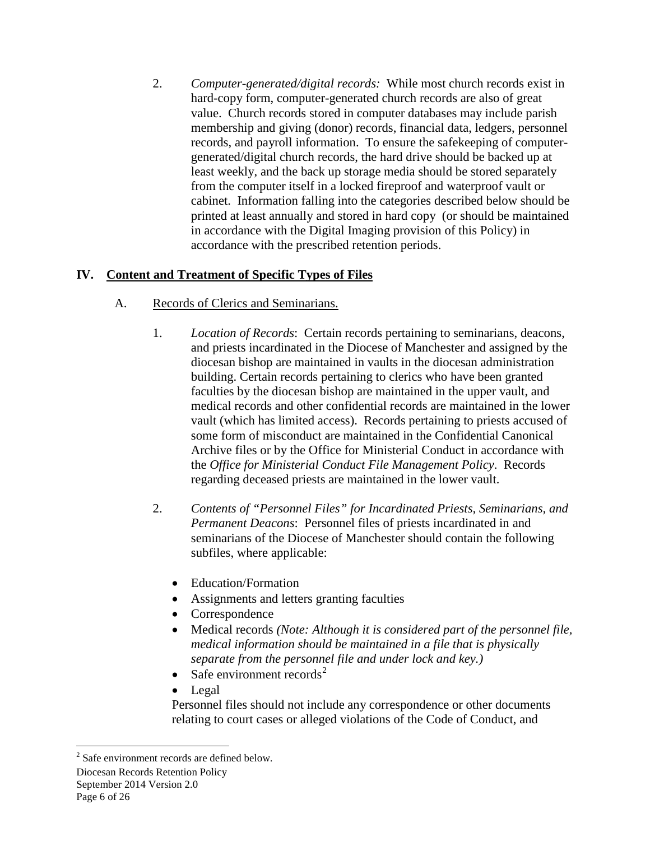2. *Computer-generated/digital records:* While most church records exist in hard-copy form, computer-generated church records are also of great value. Church records stored in computer databases may include parish membership and giving (donor) records, financial data, ledgers, personnel records, and payroll information. To ensure the safekeeping of computergenerated/digital church records, the hard drive should be backed up at least weekly, and the back up storage media should be stored separately from the computer itself in a locked fireproof and waterproof vault or cabinet. Information falling into the categories described below should be printed at least annually and stored in hard copy (or should be maintained in accordance with the Digital Imaging provision of this Policy) in accordance with the prescribed retention periods.

#### **IV. Content and Treatment of Specific Types of Files**

- A. Records of Clerics and Seminarians.
	- 1. *Location of Records*: Certain records pertaining to seminarians, deacons, and priests incardinated in the Diocese of Manchester and assigned by the diocesan bishop are maintained in vaults in the diocesan administration building. Certain records pertaining to clerics who have been granted faculties by the diocesan bishop are maintained in the upper vault, and medical records and other confidential records are maintained in the lower vault (which has limited access). Records pertaining to priests accused of some form of misconduct are maintained in the Confidential Canonical Archive files or by the Office for Ministerial Conduct in accordance with the *Office for Ministerial Conduct File Management Policy*. Records regarding deceased priests are maintained in the lower vault.
	- 2. *Contents of "Personnel Files" for Incardinated Priests, Seminarians, and Permanent Deacons*: Personnel files of priests incardinated in and seminarians of the Diocese of Manchester should contain the following subfiles, where applicable:
		- Education/Formation
		- Assignments and letters granting faculties
		- Correspondence
		- Medical records *(Note: Although it is considered part of the personnel file, medical information should be maintained in a file that is physically separate from the personnel file and under lock and key.)*
		- Safe environment records<sup>[2](#page-5-0)</sup>
		- Legal

Personnel files should not include any correspondence or other documents relating to court cases or alleged violations of the Code of Conduct, and

Diocesan Records Retention Policy September 2014 Version 2.0 Page 6 of 26

<span id="page-5-0"></span> <sup>2</sup> Safe environment records are defined below.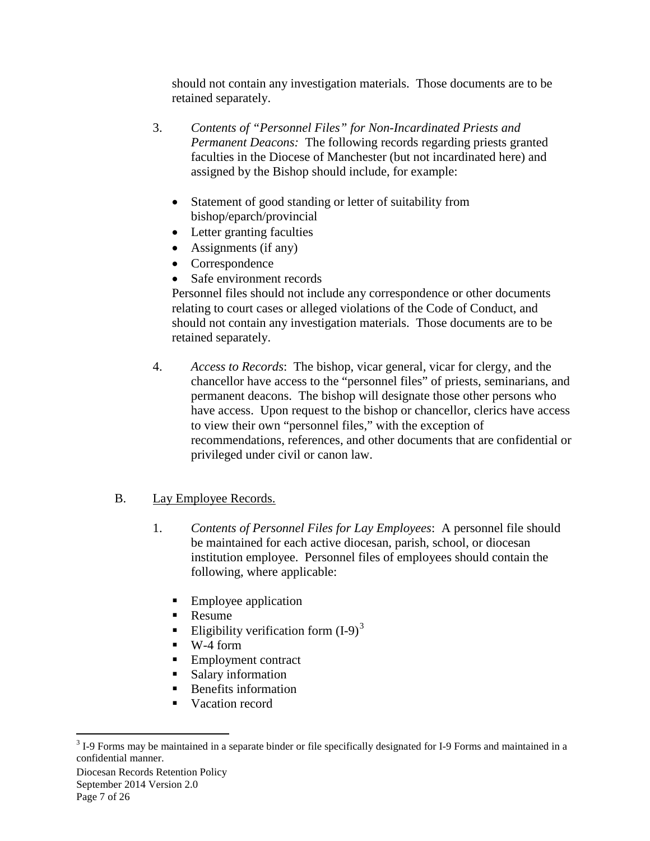should not contain any investigation materials. Those documents are to be retained separately.

- 3. *Contents of "Personnel Files" for Non-Incardinated Priests and Permanent Deacons:* The following records regarding priests granted faculties in the Diocese of Manchester (but not incardinated here) and assigned by the Bishop should include, for example:
	- Statement of good standing or letter of suitability from bishop/eparch/provincial
	- Letter granting faculties
	- Assignments (if any)
	- Correspondence
	- Safe environment records

Personnel files should not include any correspondence or other documents relating to court cases or alleged violations of the Code of Conduct, and should not contain any investigation materials. Those documents are to be retained separately.

4. *Access to Records*: The bishop, vicar general, vicar for clergy, and the chancellor have access to the "personnel files" of priests, seminarians, and permanent deacons. The bishop will designate those other persons who have access. Upon request to the bishop or chancellor, clerics have access to view their own "personnel files," with the exception of recommendations, references, and other documents that are confidential or privileged under civil or canon law.

#### B. Lay Employee Records.

- 1. *Contents of Personnel Files for Lay Employees*: A personnel file should be maintained for each active diocesan, parish, school, or diocesan institution employee. Personnel files of employees should contain the following, where applicable:
	- Employee application
	- Resume
	- Eligibility verification form  $(I-9)^3$  $(I-9)^3$
	- $W-4$  form
	- Employment contract
	- Salary information
	- Benefits information
	- Vacation record

<span id="page-6-0"></span><sup>&</sup>lt;sup>3</sup> I-9 Forms may be maintained in a separate binder or file specifically designated for I-9 Forms and maintained in a confidential manner.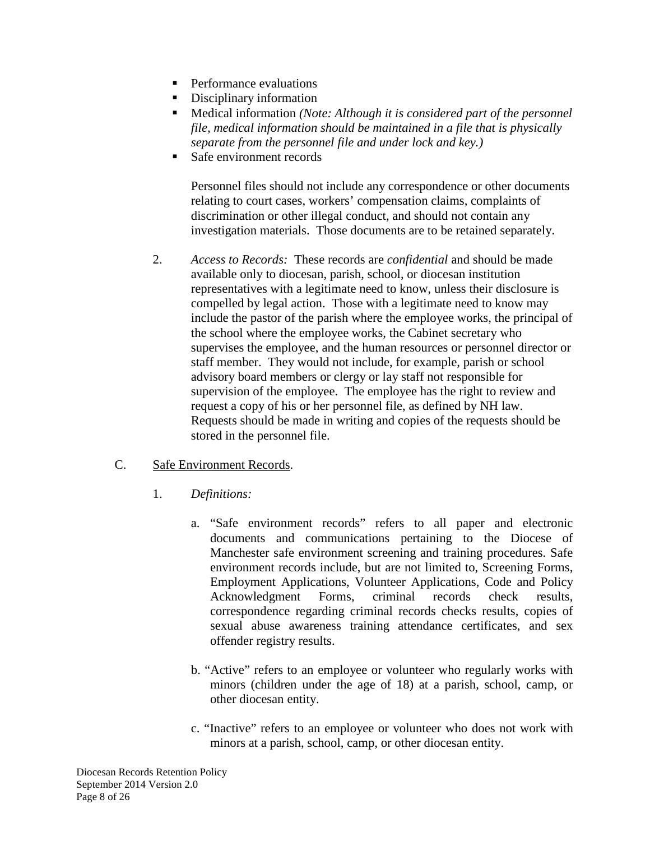- **Performance evaluations**
- Disciplinary information
- Medical information *(Note: Although it is considered part of the personnel file, medical information should be maintained in a file that is physically separate from the personnel file and under lock and key.)*
- Safe environment records

Personnel files should not include any correspondence or other documents relating to court cases, workers' compensation claims, complaints of discrimination or other illegal conduct, and should not contain any investigation materials. Those documents are to be retained separately.

2. *Access to Records:* These records are *confidential* and should be made available only to diocesan, parish, school, or diocesan institution representatives with a legitimate need to know, unless their disclosure is compelled by legal action. Those with a legitimate need to know may include the pastor of the parish where the employee works, the principal of the school where the employee works, the Cabinet secretary who supervises the employee, and the human resources or personnel director or staff member. They would not include, for example, parish or school advisory board members or clergy or lay staff not responsible for supervision of the employee. The employee has the right to review and request a copy of his or her personnel file, as defined by NH law. Requests should be made in writing and copies of the requests should be stored in the personnel file.

#### C. Safe Environment Records.

- 1. *Definitions:*
	- a. "Safe environment records" refers to all paper and electronic documents and communications pertaining to the Diocese of Manchester safe environment screening and training procedures. Safe environment records include, but are not limited to, Screening Forms, Employment Applications, Volunteer Applications, Code and Policy Acknowledgment Forms, criminal records check results, correspondence regarding criminal records checks results, copies of sexual abuse awareness training attendance certificates, and sex offender registry results.
	- b. "Active" refers to an employee or volunteer who regularly works with minors (children under the age of 18) at a parish, school, camp, or other diocesan entity.
	- c. "Inactive" refers to an employee or volunteer who does not work with minors at a parish, school, camp, or other diocesan entity.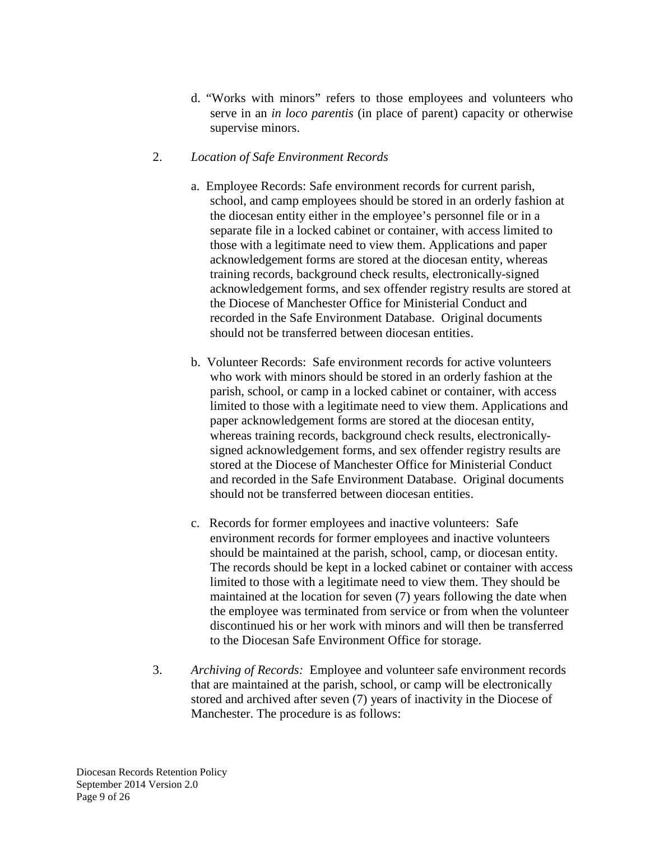d. "Works with minors" refers to those employees and volunteers who serve in an *in loco parentis* (in place of parent) capacity or otherwise supervise minors.

#### 2. *Location of Safe Environment Records*

- a. Employee Records: Safe environment records for current parish, school, and camp employees should be stored in an orderly fashion at the diocesan entity either in the employee's personnel file or in a separate file in a locked cabinet or container, with access limited to those with a legitimate need to view them. Applications and paper acknowledgement forms are stored at the diocesan entity, whereas training records, background check results, electronically-signed acknowledgement forms, and sex offender registry results are stored at the Diocese of Manchester Office for Ministerial Conduct and recorded in the Safe Environment Database. Original documents should not be transferred between diocesan entities.
- b. Volunteer Records: Safe environment records for active volunteers who work with minors should be stored in an orderly fashion at the parish, school, or camp in a locked cabinet or container, with access limited to those with a legitimate need to view them. Applications and paper acknowledgement forms are stored at the diocesan entity, whereas training records, background check results, electronicallysigned acknowledgement forms, and sex offender registry results are stored at the Diocese of Manchester Office for Ministerial Conduct and recorded in the Safe Environment Database. Original documents should not be transferred between diocesan entities.
- c. Records for former employees and inactive volunteers: Safe environment records for former employees and inactive volunteers should be maintained at the parish, school, camp, or diocesan entity. The records should be kept in a locked cabinet or container with access limited to those with a legitimate need to view them. They should be maintained at the location for seven (7) years following the date when the employee was terminated from service or from when the volunteer discontinued his or her work with minors and will then be transferred to the Diocesan Safe Environment Office for storage.
- 3. *Archiving of Records:* Employee and volunteer safe environment records that are maintained at the parish, school, or camp will be electronically stored and archived after seven (7) years of inactivity in the Diocese of Manchester. The procedure is as follows: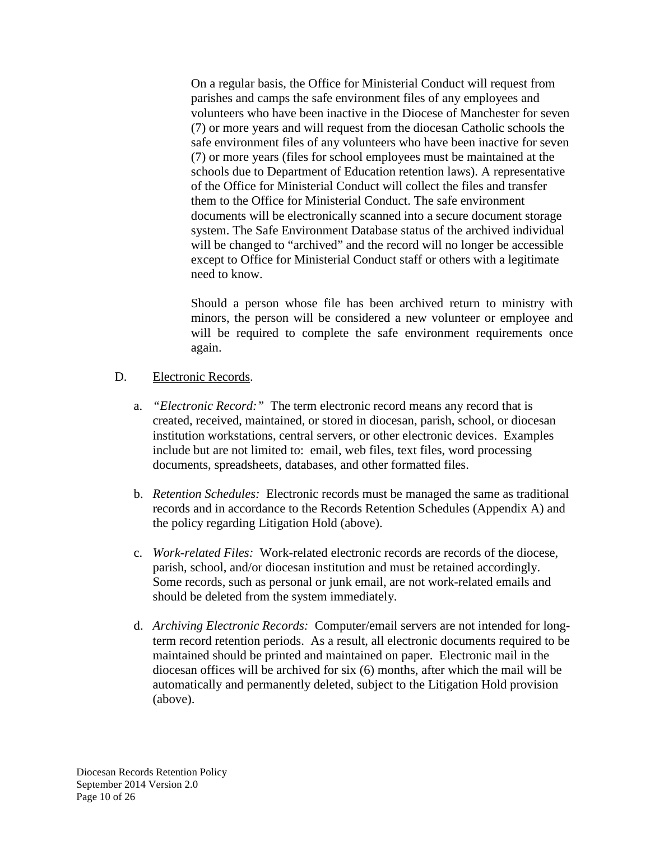On a regular basis, the Office for Ministerial Conduct will request from parishes and camps the safe environment files of any employees and volunteers who have been inactive in the Diocese of Manchester for seven (7) or more years and will request from the diocesan Catholic schools the safe environment files of any volunteers who have been inactive for seven (7) or more years (files for school employees must be maintained at the schools due to Department of Education retention laws). A representative of the Office for Ministerial Conduct will collect the files and transfer them to the Office for Ministerial Conduct. The safe environment documents will be electronically scanned into a secure document storage system. The Safe Environment Database status of the archived individual will be changed to "archived" and the record will no longer be accessible except to Office for Ministerial Conduct staff or others with a legitimate need to know.

Should a person whose file has been archived return to ministry with minors, the person will be considered a new volunteer or employee and will be required to complete the safe environment requirements once again.

#### D. Electronic Records.

- a. *"Electronic Record:"* The term electronic record means any record that is created, received, maintained, or stored in diocesan, parish, school, or diocesan institution workstations, central servers, or other electronic devices. Examples include but are not limited to: email, web files, text files, word processing documents, spreadsheets, databases, and other formatted files.
- b. *Retention Schedules:* Electronic records must be managed the same as traditional records and in accordance to the Records Retention Schedules (Appendix A) and the policy regarding Litigation Hold (above).
- c. *Work-related Files:* Work-related electronic records are records of the diocese, parish, school, and/or diocesan institution and must be retained accordingly. Some records, such as personal or junk email, are not work-related emails and should be deleted from the system immediately.
- d. *Archiving Electronic Records:* Computer/email servers are not intended for longterm record retention periods. As a result, all electronic documents required to be maintained should be printed and maintained on paper. Electronic mail in the diocesan offices will be archived for six (6) months, after which the mail will be automatically and permanently deleted, subject to the Litigation Hold provision (above).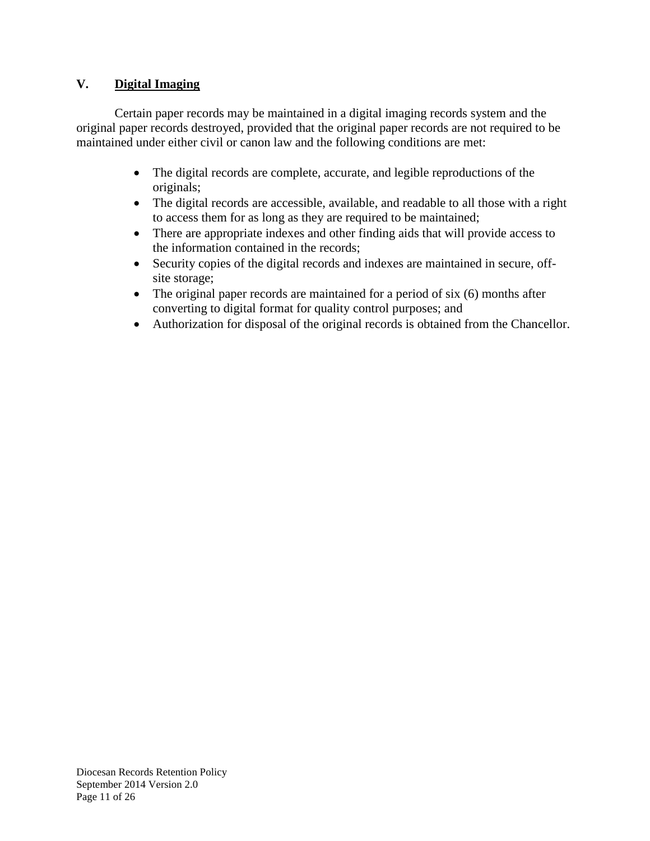#### **V. Digital Imaging**

Certain paper records may be maintained in a digital imaging records system and the original paper records destroyed, provided that the original paper records are not required to be maintained under either civil or canon law and the following conditions are met:

- The digital records are complete, accurate, and legible reproductions of the originals;
- The digital records are accessible, available, and readable to all those with a right to access them for as long as they are required to be maintained;
- There are appropriate indexes and other finding aids that will provide access to the information contained in the records;
- Security copies of the digital records and indexes are maintained in secure, offsite storage;
- The original paper records are maintained for a period of six (6) months after converting to digital format for quality control purposes; and
- Authorization for disposal of the original records is obtained from the Chancellor.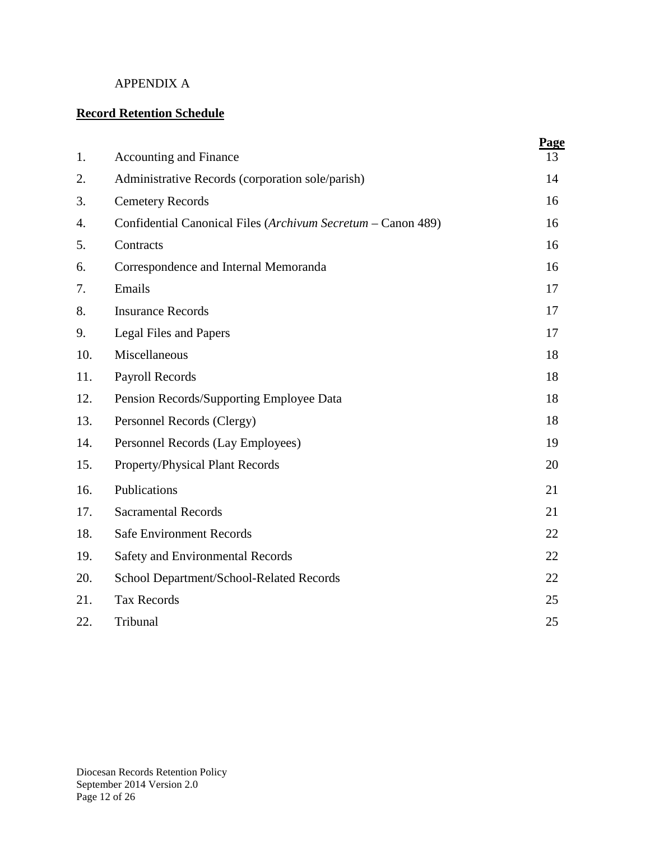#### APPENDIX A

## **Record Retention Schedule**

| 1.  | <b>Accounting and Finance</b>                                | Page<br>13 |
|-----|--------------------------------------------------------------|------------|
| 2.  | Administrative Records (corporation sole/parish)             | 14         |
| 3.  | <b>Cemetery Records</b>                                      | 16         |
| 4.  | Confidential Canonical Files (Archivum Secretum - Canon 489) | 16         |
| 5.  | Contracts                                                    | 16         |
| 6.  | Correspondence and Internal Memoranda                        | 16         |
| 7.  | Emails                                                       | 17         |
| 8.  | <b>Insurance Records</b>                                     | 17         |
| 9.  | <b>Legal Files and Papers</b>                                | 17         |
| 10. | Miscellaneous                                                | 18         |
| 11. | Payroll Records                                              | 18         |
| 12. | Pension Records/Supporting Employee Data                     | 18         |
| 13. | Personnel Records (Clergy)                                   | 18         |
| 14. | Personnel Records (Lay Employees)                            | 19         |
| 15. | Property/Physical Plant Records                              | 20         |
| 16. | Publications                                                 | 21         |
| 17. | <b>Sacramental Records</b>                                   | 21         |
| 18. | <b>Safe Environment Records</b>                              | 22         |
| 19. | Safety and Environmental Records                             | 22         |
| 20. | School Department/School-Related Records                     | 22         |
| 21. | <b>Tax Records</b>                                           | 25         |
| 22. | Tribunal                                                     | 25         |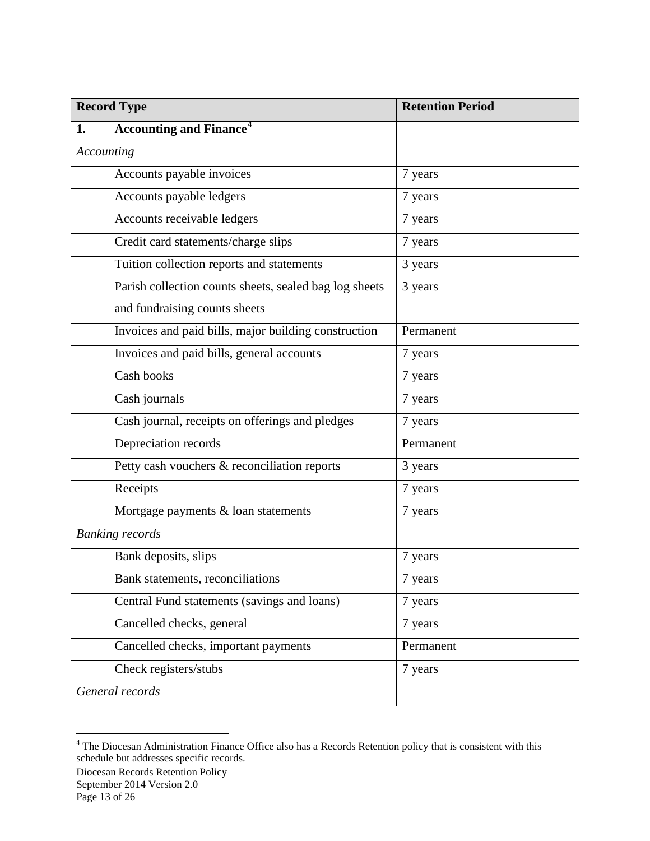| <b>Record Type</b>                                     | <b>Retention Period</b> |
|--------------------------------------------------------|-------------------------|
| <b>Accounting and Finance<sup>4</sup></b><br>1.        |                         |
| Accounting                                             |                         |
| Accounts payable invoices                              | 7 years                 |
| Accounts payable ledgers                               | 7 years                 |
| Accounts receivable ledgers                            | 7 years                 |
| Credit card statements/charge slips                    | 7 years                 |
| Tuition collection reports and statements              | 3 years                 |
| Parish collection counts sheets, sealed bag log sheets | 3 years                 |
| and fundraising counts sheets                          |                         |
| Invoices and paid bills, major building construction   | Permanent               |
| Invoices and paid bills, general accounts              | 7 years                 |
| Cash books                                             | 7 years                 |
| Cash journals                                          | 7 years                 |
| Cash journal, receipts on offerings and pledges        | 7 years                 |
| Depreciation records                                   | Permanent               |
| Petty cash vouchers & reconciliation reports           | 3 years                 |
| Receipts                                               | 7 years                 |
| Mortgage payments & loan statements                    | 7 years                 |
| <b>Banking records</b>                                 |                         |
| Bank deposits, slips                                   | 7 years                 |
| Bank statements, reconciliations                       | 7 years                 |
| Central Fund statements (savings and loans)            | 7 years                 |
| Cancelled checks, general                              | 7 years                 |
| Cancelled checks, important payments                   | Permanent               |
| Check registers/stubs                                  | 7 years                 |
| General records                                        |                         |

<span id="page-12-0"></span><sup>&</sup>lt;sup>4</sup> The Diocesan Administration Finance Office also has a Records Retention policy that is consistent with this schedule but addresses specific records.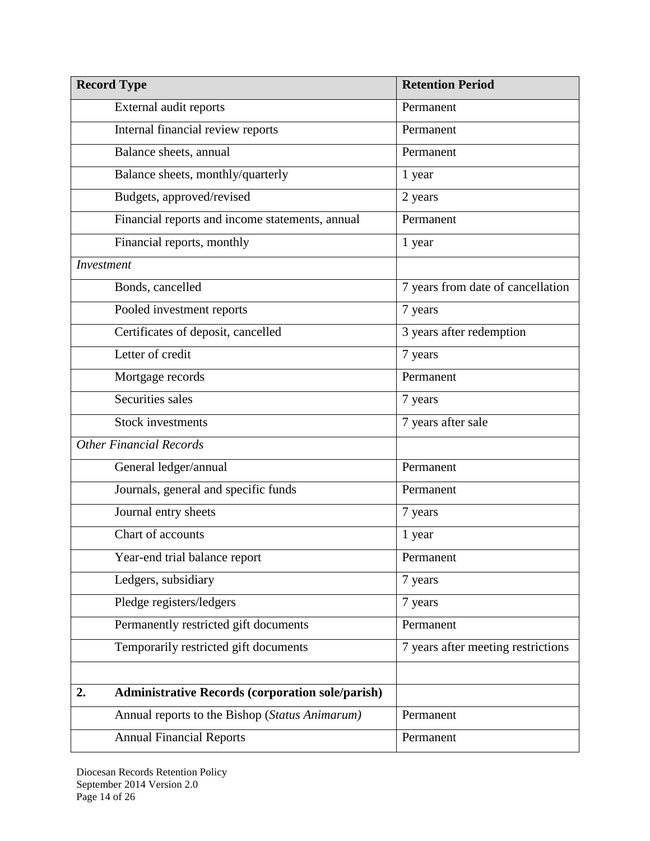| <b>Record Type</b>                                            | <b>Retention Period</b>            |
|---------------------------------------------------------------|------------------------------------|
| External audit reports                                        | Permanent                          |
| Internal financial review reports                             | Permanent                          |
| Balance sheets, annual                                        | Permanent                          |
| Balance sheets, monthly/quarterly                             | 1 year                             |
| Budgets, approved/revised                                     | 2 years                            |
| Financial reports and income statements, annual               | Permanent                          |
| Financial reports, monthly                                    | 1 year                             |
| <b>Investment</b>                                             |                                    |
| Bonds, cancelled                                              | 7 years from date of cancellation  |
| Pooled investment reports                                     | 7 years                            |
| Certificates of deposit, cancelled                            | 3 years after redemption           |
| Letter of credit                                              | 7 years                            |
| Mortgage records                                              | Permanent                          |
| Securities sales                                              | 7 years                            |
| <b>Stock investments</b>                                      | 7 years after sale                 |
| <b>Other Financial Records</b>                                |                                    |
| General ledger/annual                                         | Permanent                          |
| Journals, general and specific funds                          | Permanent                          |
| Journal entry sheets                                          | 7 years                            |
| Chart of accounts                                             | 1 year                             |
| Year-end trial balance report                                 | Permanent                          |
| Ledgers, subsidiary                                           | 7 years                            |
| Pledge registers/ledgers                                      | 7 years                            |
| Permanently restricted gift documents                         | Permanent                          |
| Temporarily restricted gift documents                         | 7 years after meeting restrictions |
|                                                               |                                    |
| <b>Administrative Records (corporation sole/parish)</b><br>2. |                                    |
| Annual reports to the Bishop (Status Animarum)                | Permanent                          |
| <b>Annual Financial Reports</b>                               | Permanent                          |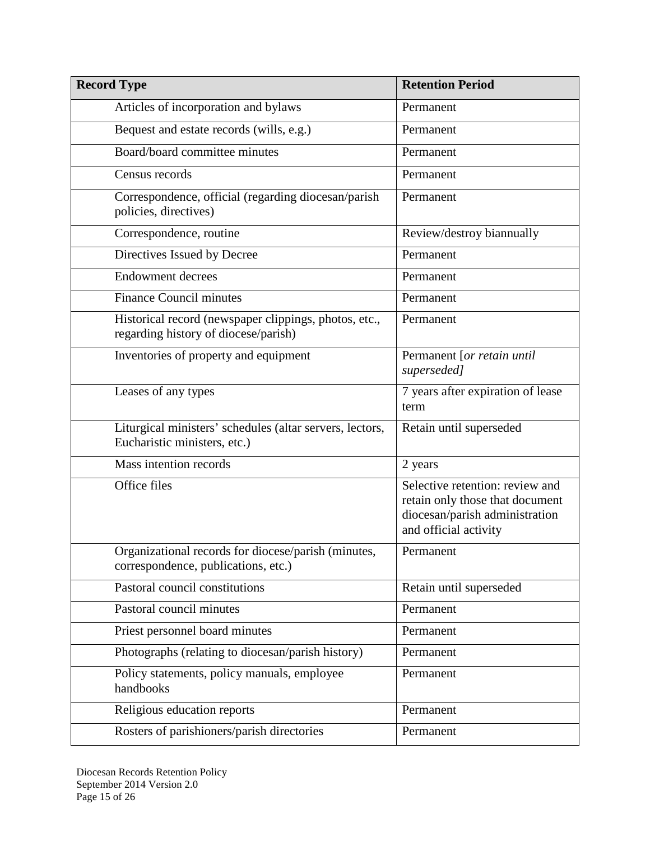| <b>Record Type</b>                                                                            | <b>Retention Period</b>                                                                                                       |
|-----------------------------------------------------------------------------------------------|-------------------------------------------------------------------------------------------------------------------------------|
| Articles of incorporation and bylaws                                                          | Permanent                                                                                                                     |
| Bequest and estate records (wills, e.g.)                                                      | Permanent                                                                                                                     |
| Board/board committee minutes                                                                 | Permanent                                                                                                                     |
| Census records                                                                                | Permanent                                                                                                                     |
| Correspondence, official (regarding diocesan/parish<br>policies, directives)                  | Permanent                                                                                                                     |
| Correspondence, routine                                                                       | Review/destroy biannually                                                                                                     |
| Directives Issued by Decree                                                                   | Permanent                                                                                                                     |
| <b>Endowment decrees</b>                                                                      | Permanent                                                                                                                     |
| <b>Finance Council minutes</b>                                                                | Permanent                                                                                                                     |
| Historical record (newspaper clippings, photos, etc.,<br>regarding history of diocese/parish) | Permanent                                                                                                                     |
| Inventories of property and equipment                                                         | Permanent [or retain until<br>superseded]                                                                                     |
| Leases of any types                                                                           | 7 years after expiration of lease<br>term                                                                                     |
| Liturgical ministers' schedules (altar servers, lectors,<br>Eucharistic ministers, etc.)      | Retain until superseded                                                                                                       |
| Mass intention records                                                                        | 2 years                                                                                                                       |
| Office files                                                                                  | Selective retention: review and<br>retain only those that document<br>diocesan/parish administration<br>and official activity |
| Organizational records for diocese/parish (minutes,<br>correspondence, publications, etc.)    | Permanent                                                                                                                     |
| Pastoral council constitutions                                                                | Retain until superseded                                                                                                       |
| Pastoral council minutes                                                                      | Permanent                                                                                                                     |
| Priest personnel board minutes                                                                | Permanent                                                                                                                     |
| Photographs (relating to diocesan/parish history)                                             | Permanent                                                                                                                     |
| Policy statements, policy manuals, employee<br>handbooks                                      | Permanent                                                                                                                     |
| Religious education reports                                                                   | Permanent                                                                                                                     |
| Rosters of parishioners/parish directories                                                    | Permanent                                                                                                                     |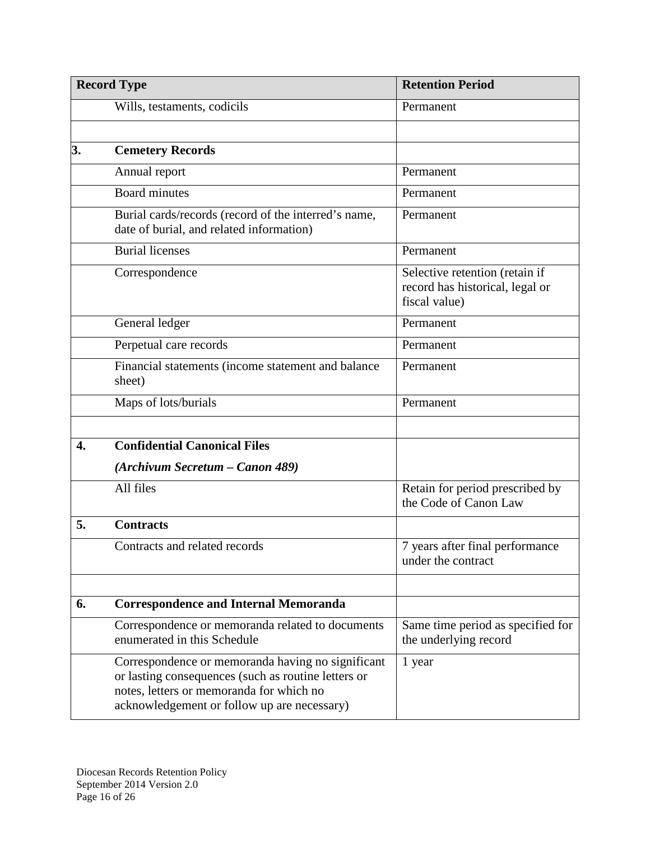| <b>Record Type</b> |                                                                                                                                                                                                     | <b>Retention Period</b>                                                            |
|--------------------|-----------------------------------------------------------------------------------------------------------------------------------------------------------------------------------------------------|------------------------------------------------------------------------------------|
|                    | Wills, testaments, codicils                                                                                                                                                                         | Permanent                                                                          |
|                    |                                                                                                                                                                                                     |                                                                                    |
| 3.                 | <b>Cemetery Records</b>                                                                                                                                                                             |                                                                                    |
|                    | Annual report                                                                                                                                                                                       | Permanent                                                                          |
|                    | <b>Board minutes</b>                                                                                                                                                                                | Permanent                                                                          |
|                    | Burial cards/records (record of the interred's name,<br>date of burial, and related information)                                                                                                    | Permanent                                                                          |
|                    | <b>Burial licenses</b>                                                                                                                                                                              | Permanent                                                                          |
|                    | Correspondence                                                                                                                                                                                      | Selective retention (retain if<br>record has historical, legal or<br>fiscal value) |
|                    | General ledger                                                                                                                                                                                      | Permanent                                                                          |
|                    | Perpetual care records                                                                                                                                                                              | Permanent                                                                          |
|                    | Financial statements (income statement and balance<br>sheet)                                                                                                                                        | Permanent                                                                          |
|                    | Maps of lots/burials                                                                                                                                                                                | Permanent                                                                          |
|                    |                                                                                                                                                                                                     |                                                                                    |
| 4.                 | <b>Confidential Canonical Files</b>                                                                                                                                                                 |                                                                                    |
|                    | (Archivum Secretum – Canon 489)                                                                                                                                                                     |                                                                                    |
|                    | All files                                                                                                                                                                                           | Retain for period prescribed by<br>the Code of Canon Law                           |
| 5.                 | <b>Contracts</b>                                                                                                                                                                                    |                                                                                    |
|                    | Contracts and related records                                                                                                                                                                       | 7 years after final performance<br>under the contract                              |
|                    |                                                                                                                                                                                                     |                                                                                    |
| 6.                 | <b>Correspondence and Internal Memoranda</b>                                                                                                                                                        |                                                                                    |
|                    | Correspondence or memoranda related to documents<br>enumerated in this Schedule                                                                                                                     | Same time period as specified for<br>the underlying record                         |
|                    | Correspondence or memoranda having no significant<br>or lasting consequences (such as routine letters or<br>notes, letters or memoranda for which no<br>acknowledgement or follow up are necessary) | 1 year                                                                             |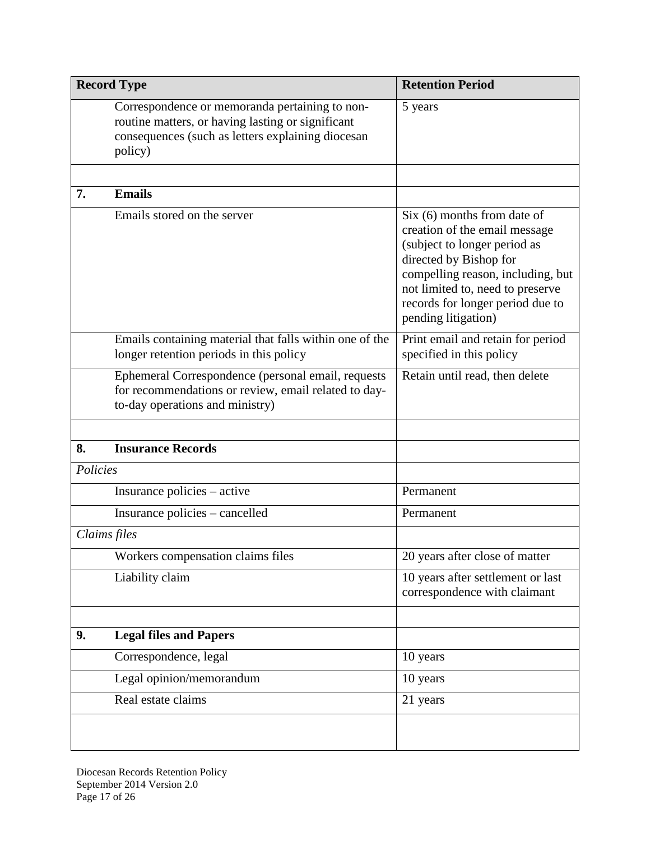| <b>Record Type</b> |                                                                                                                                                                     | <b>Retention Period</b>                                                                                                                                                                                                                                      |
|--------------------|---------------------------------------------------------------------------------------------------------------------------------------------------------------------|--------------------------------------------------------------------------------------------------------------------------------------------------------------------------------------------------------------------------------------------------------------|
|                    | Correspondence or memoranda pertaining to non-<br>routine matters, or having lasting or significant<br>consequences (such as letters explaining diocesan<br>policy) | 5 years                                                                                                                                                                                                                                                      |
| 7.                 | <b>Emails</b>                                                                                                                                                       |                                                                                                                                                                                                                                                              |
|                    | Emails stored on the server                                                                                                                                         | $Six (6)$ months from date of<br>creation of the email message<br>(subject to longer period as<br>directed by Bishop for<br>compelling reason, including, but<br>not limited to, need to preserve<br>records for longer period due to<br>pending litigation) |
|                    | Emails containing material that falls within one of the<br>longer retention periods in this policy                                                                  | Print email and retain for period<br>specified in this policy                                                                                                                                                                                                |
|                    | Ephemeral Correspondence (personal email, requests<br>for recommendations or review, email related to day-<br>to-day operations and ministry)                       | Retain until read, then delete                                                                                                                                                                                                                               |
|                    |                                                                                                                                                                     |                                                                                                                                                                                                                                                              |
| 8.                 | <b>Insurance Records</b>                                                                                                                                            |                                                                                                                                                                                                                                                              |
| Policies           |                                                                                                                                                                     |                                                                                                                                                                                                                                                              |
|                    | Insurance policies – active                                                                                                                                         | Permanent                                                                                                                                                                                                                                                    |
|                    | Insurance policies - cancelled                                                                                                                                      | Permanent                                                                                                                                                                                                                                                    |
|                    | Claims files                                                                                                                                                        |                                                                                                                                                                                                                                                              |
|                    | Workers compensation claims files                                                                                                                                   | 20 years after close of matter                                                                                                                                                                                                                               |
|                    | Liability claim                                                                                                                                                     | 10 years after settlement or last<br>correspondence with claimant                                                                                                                                                                                            |
| 9.                 | <b>Legal files and Papers</b>                                                                                                                                       |                                                                                                                                                                                                                                                              |
|                    | Correspondence, legal                                                                                                                                               | 10 years                                                                                                                                                                                                                                                     |
|                    | Legal opinion/memorandum                                                                                                                                            | 10 years                                                                                                                                                                                                                                                     |
|                    | Real estate claims                                                                                                                                                  | 21 years                                                                                                                                                                                                                                                     |
|                    |                                                                                                                                                                     |                                                                                                                                                                                                                                                              |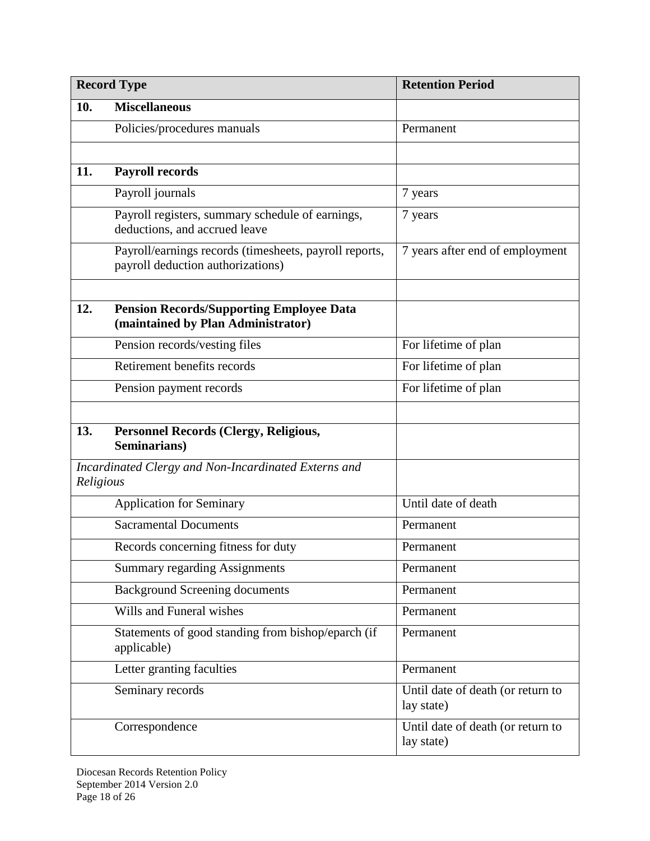|                                                                   | <b>Record Type</b>                                                                          | <b>Retention Period</b>                         |
|-------------------------------------------------------------------|---------------------------------------------------------------------------------------------|-------------------------------------------------|
| 10.                                                               | <b>Miscellaneous</b>                                                                        |                                                 |
|                                                                   | Policies/procedures manuals                                                                 | Permanent                                       |
|                                                                   |                                                                                             |                                                 |
| 11.                                                               | <b>Payroll records</b>                                                                      |                                                 |
|                                                                   | Payroll journals                                                                            | 7 years                                         |
|                                                                   | Payroll registers, summary schedule of earnings,<br>deductions, and accrued leave           | 7 years                                         |
|                                                                   | Payroll/earnings records (timesheets, payroll reports,<br>payroll deduction authorizations) | 7 years after end of employment                 |
| 12.                                                               | <b>Pension Records/Supporting Employee Data</b><br>(maintained by Plan Administrator)       |                                                 |
|                                                                   | Pension records/vesting files                                                               | For lifetime of plan                            |
|                                                                   | Retirement benefits records                                                                 | For lifetime of plan                            |
|                                                                   | Pension payment records                                                                     | For lifetime of plan                            |
| 13.                                                               | <b>Personnel Records (Clergy, Religious,</b><br>Seminarians)                                |                                                 |
| Incardinated Clergy and Non-Incardinated Externs and<br>Religious |                                                                                             |                                                 |
|                                                                   | <b>Application for Seminary</b>                                                             | Until date of death                             |
|                                                                   | <b>Sacramental Documents</b>                                                                | Permanent                                       |
|                                                                   | Records concerning fitness for duty                                                         | Permanent                                       |
|                                                                   | <b>Summary regarding Assignments</b>                                                        | Permanent                                       |
|                                                                   | <b>Background Screening documents</b>                                                       | Permanent                                       |
|                                                                   | Wills and Funeral wishes                                                                    | Permanent                                       |
|                                                                   | Statements of good standing from bishop/eparch (if<br>applicable)                           | Permanent                                       |
|                                                                   | Letter granting faculties                                                                   | Permanent                                       |
|                                                                   | Seminary records                                                                            | Until date of death (or return to<br>lay state) |
|                                                                   | Correspondence                                                                              | Until date of death (or return to<br>lay state) |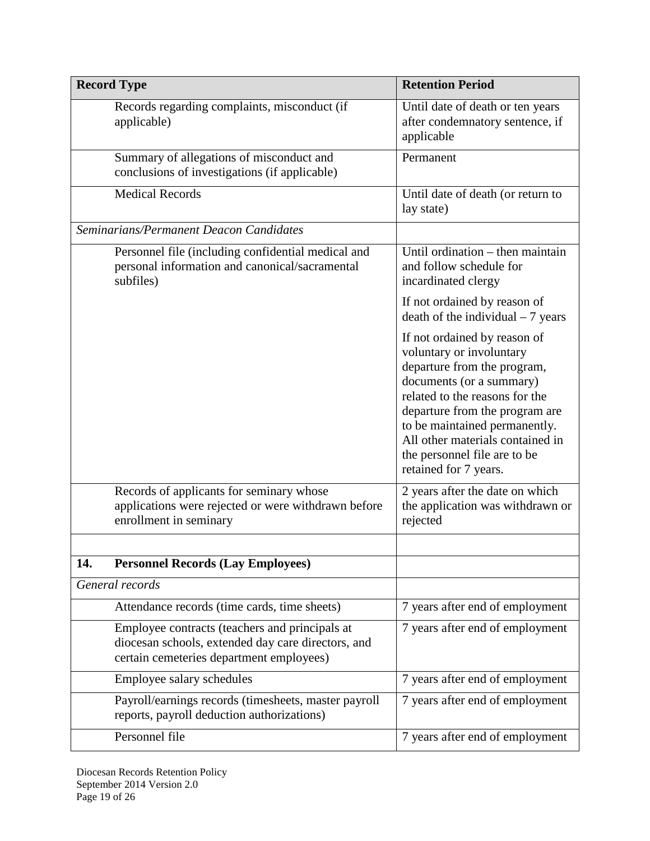|     | <b>Record Type</b>                                                                                                                               | <b>Retention Period</b>                                                                                                                                                                                                                                                                                               |
|-----|--------------------------------------------------------------------------------------------------------------------------------------------------|-----------------------------------------------------------------------------------------------------------------------------------------------------------------------------------------------------------------------------------------------------------------------------------------------------------------------|
|     | Records regarding complaints, misconduct (if<br>applicable)                                                                                      | Until date of death or ten years<br>after condemnatory sentence, if<br>applicable                                                                                                                                                                                                                                     |
|     | Summary of allegations of misconduct and<br>conclusions of investigations (if applicable)                                                        | Permanent                                                                                                                                                                                                                                                                                                             |
|     | <b>Medical Records</b>                                                                                                                           | Until date of death (or return to<br>lay state)                                                                                                                                                                                                                                                                       |
|     | Seminarians/Permanent Deacon Candidates                                                                                                          |                                                                                                                                                                                                                                                                                                                       |
|     | Personnel file (including confidential medical and<br>personal information and canonical/sacramental<br>subfiles)                                | Until ordination - then maintain<br>and follow schedule for<br>incardinated clergy                                                                                                                                                                                                                                    |
|     |                                                                                                                                                  | If not ordained by reason of<br>$death$ of the individual $-7$ years                                                                                                                                                                                                                                                  |
|     |                                                                                                                                                  | If not ordained by reason of<br>voluntary or involuntary<br>departure from the program,<br>documents (or a summary)<br>related to the reasons for the<br>departure from the program are<br>to be maintained permanently.<br>All other materials contained in<br>the personnel file are to be<br>retained for 7 years. |
|     | Records of applicants for seminary whose<br>applications were rejected or were withdrawn before<br>enrollment in seminary                        | 2 years after the date on which<br>the application was withdrawn or<br>rejected                                                                                                                                                                                                                                       |
|     |                                                                                                                                                  |                                                                                                                                                                                                                                                                                                                       |
| 14. | <b>Personnel Records (Lay Employees)</b>                                                                                                         |                                                                                                                                                                                                                                                                                                                       |
|     | General records                                                                                                                                  |                                                                                                                                                                                                                                                                                                                       |
|     | Attendance records (time cards, time sheets)                                                                                                     | 7 years after end of employment                                                                                                                                                                                                                                                                                       |
|     | Employee contracts (teachers and principals at<br>diocesan schools, extended day care directors, and<br>certain cemeteries department employees) | 7 years after end of employment                                                                                                                                                                                                                                                                                       |
|     | Employee salary schedules                                                                                                                        | 7 years after end of employment                                                                                                                                                                                                                                                                                       |
|     | Payroll/earnings records (timesheets, master payroll<br>reports, payroll deduction authorizations)                                               | 7 years after end of employment                                                                                                                                                                                                                                                                                       |
|     | Personnel file                                                                                                                                   | 7 years after end of employment                                                                                                                                                                                                                                                                                       |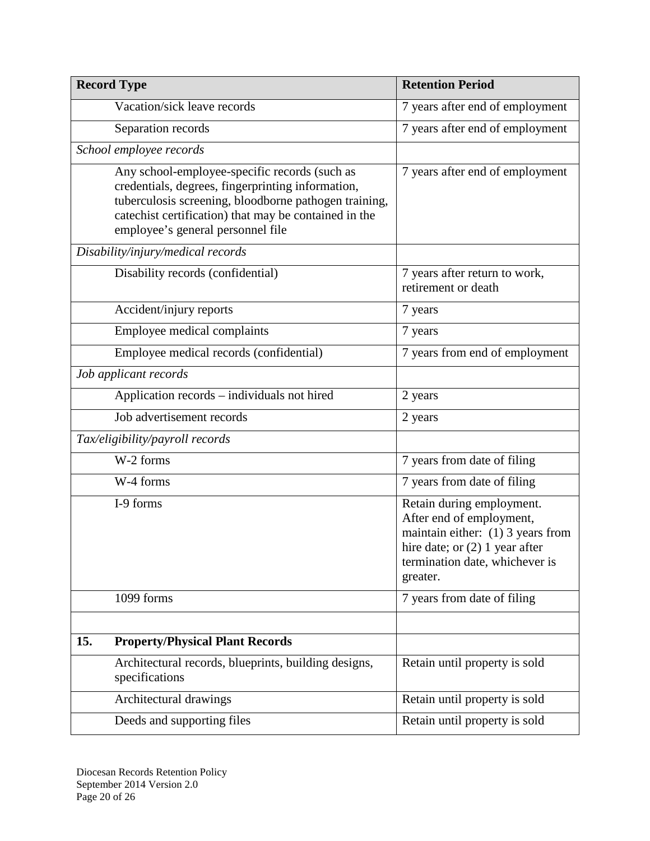| <b>Record Type</b>                                                                                                                                                                                                                                        | <b>Retention Period</b>                                                                                                                                                        |
|-----------------------------------------------------------------------------------------------------------------------------------------------------------------------------------------------------------------------------------------------------------|--------------------------------------------------------------------------------------------------------------------------------------------------------------------------------|
| Vacation/sick leave records                                                                                                                                                                                                                               | 7 years after end of employment                                                                                                                                                |
| Separation records                                                                                                                                                                                                                                        | 7 years after end of employment                                                                                                                                                |
| School employee records                                                                                                                                                                                                                                   |                                                                                                                                                                                |
| Any school-employee-specific records (such as<br>credentials, degrees, fingerprinting information,<br>tuberculosis screening, bloodborne pathogen training,<br>catechist certification) that may be contained in the<br>employee's general personnel file | 7 years after end of employment                                                                                                                                                |
| Disability/injury/medical records                                                                                                                                                                                                                         |                                                                                                                                                                                |
| Disability records (confidential)                                                                                                                                                                                                                         | 7 years after return to work,<br>retirement or death                                                                                                                           |
| Accident/injury reports                                                                                                                                                                                                                                   | 7 years                                                                                                                                                                        |
| Employee medical complaints                                                                                                                                                                                                                               | 7 years                                                                                                                                                                        |
| Employee medical records (confidential)                                                                                                                                                                                                                   | 7 years from end of employment                                                                                                                                                 |
| Job applicant records                                                                                                                                                                                                                                     |                                                                                                                                                                                |
| Application records - individuals not hired                                                                                                                                                                                                               | 2 years                                                                                                                                                                        |
| Job advertisement records                                                                                                                                                                                                                                 | 2 years                                                                                                                                                                        |
| Tax/eligibility/payroll records                                                                                                                                                                                                                           |                                                                                                                                                                                |
| W-2 forms                                                                                                                                                                                                                                                 | 7 years from date of filing                                                                                                                                                    |
| W-4 forms                                                                                                                                                                                                                                                 | 7 years from date of filing                                                                                                                                                    |
| I-9 forms                                                                                                                                                                                                                                                 | Retain during employment.<br>After end of employment,<br>maintain either: $(1)$ 3 years from<br>hire date; or $(2)$ 1 year after<br>termination date, whichever is<br>greater. |
| 1099 forms                                                                                                                                                                                                                                                | 7 years from date of filing                                                                                                                                                    |
|                                                                                                                                                                                                                                                           |                                                                                                                                                                                |
| 15.<br><b>Property/Physical Plant Records</b>                                                                                                                                                                                                             |                                                                                                                                                                                |
| Architectural records, blueprints, building designs,<br>specifications                                                                                                                                                                                    | Retain until property is sold                                                                                                                                                  |
| Architectural drawings                                                                                                                                                                                                                                    | Retain until property is sold                                                                                                                                                  |
| Deeds and supporting files                                                                                                                                                                                                                                | Retain until property is sold                                                                                                                                                  |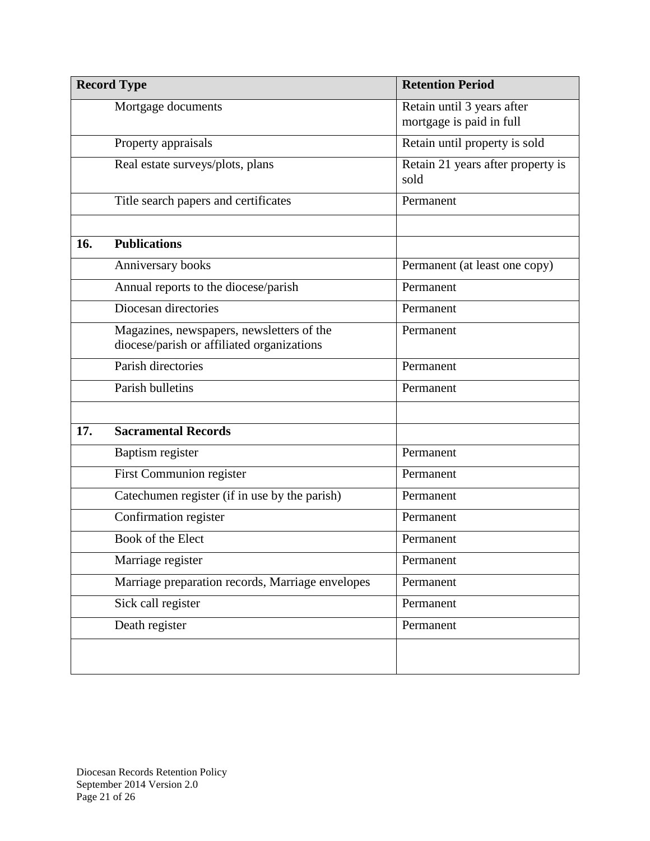| <b>Record Type</b> |                                                                                         | <b>Retention Period</b>                                |
|--------------------|-----------------------------------------------------------------------------------------|--------------------------------------------------------|
|                    | Mortgage documents                                                                      | Retain until 3 years after<br>mortgage is paid in full |
|                    | Property appraisals                                                                     | Retain until property is sold                          |
|                    | Real estate surveys/plots, plans                                                        | Retain 21 years after property is<br>sold              |
|                    | Title search papers and certificates                                                    | Permanent                                              |
| 16.                | <b>Publications</b>                                                                     |                                                        |
|                    | Anniversary books                                                                       | Permanent (at least one copy)                          |
|                    | Annual reports to the diocese/parish                                                    | Permanent                                              |
|                    | Diocesan directories                                                                    | Permanent                                              |
|                    | Magazines, newspapers, newsletters of the<br>diocese/parish or affiliated organizations | Permanent                                              |
|                    | Parish directories                                                                      | Permanent                                              |
|                    | Parish bulletins                                                                        | Permanent                                              |
|                    |                                                                                         |                                                        |
| 17.                | <b>Sacramental Records</b>                                                              |                                                        |
|                    | Baptism register                                                                        | Permanent                                              |
|                    | First Communion register                                                                | Permanent                                              |
|                    | Catechumen register (if in use by the parish)                                           | Permanent                                              |
|                    | Confirmation register                                                                   | Permanent                                              |
|                    | Book of the Elect                                                                       | Permanent                                              |
|                    | Marriage register                                                                       | Permanent                                              |
|                    | Marriage preparation records, Marriage envelopes                                        | Permanent                                              |
|                    | Sick call register                                                                      | Permanent                                              |
|                    | Death register                                                                          | Permanent                                              |
|                    |                                                                                         |                                                        |
|                    |                                                                                         |                                                        |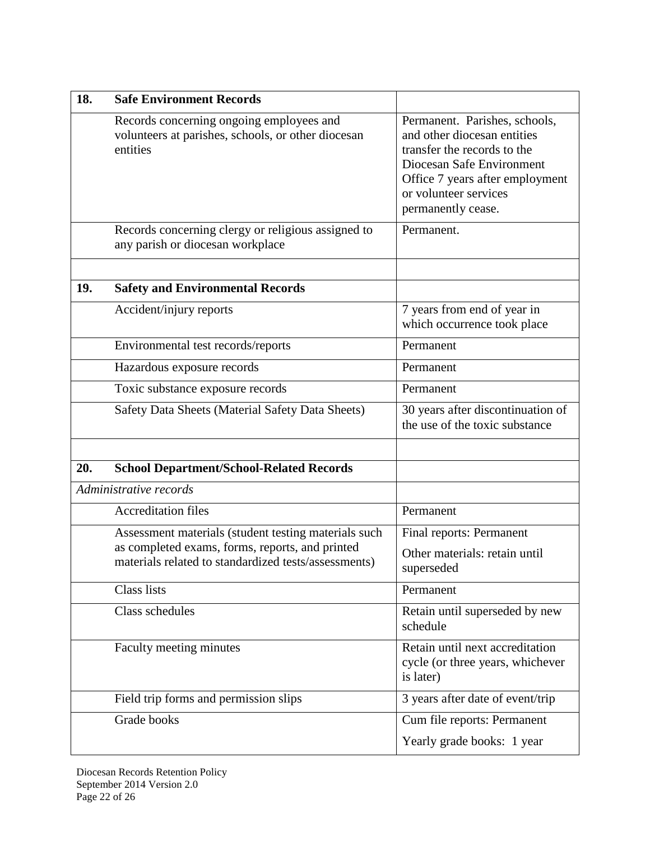| 18. | <b>Safe Environment Records</b>                                                                            |                                                                                                                                                                                                            |
|-----|------------------------------------------------------------------------------------------------------------|------------------------------------------------------------------------------------------------------------------------------------------------------------------------------------------------------------|
|     | Records concerning ongoing employees and<br>volunteers at parishes, schools, or other diocesan<br>entities | Permanent. Parishes, schools,<br>and other diocesan entities<br>transfer the records to the<br>Diocesan Safe Environment<br>Office 7 years after employment<br>or volunteer services<br>permanently cease. |
|     | Records concerning clergy or religious assigned to<br>any parish or diocesan workplace                     | Permanent.                                                                                                                                                                                                 |
| 19. | <b>Safety and Environmental Records</b>                                                                    |                                                                                                                                                                                                            |
|     | Accident/injury reports                                                                                    | 7 years from end of year in<br>which occurrence took place                                                                                                                                                 |
|     | Environmental test records/reports                                                                         | Permanent                                                                                                                                                                                                  |
|     | Hazardous exposure records                                                                                 | Permanent                                                                                                                                                                                                  |
|     | Toxic substance exposure records                                                                           | Permanent                                                                                                                                                                                                  |
|     | Safety Data Sheets (Material Safety Data Sheets)                                                           | 30 years after discontinuation of<br>the use of the toxic substance                                                                                                                                        |
| 20. | <b>School Department/School-Related Records</b>                                                            |                                                                                                                                                                                                            |
|     | Administrative records                                                                                     |                                                                                                                                                                                                            |
|     | <b>Accreditation files</b>                                                                                 | Permanent                                                                                                                                                                                                  |
|     | Assessment materials (student testing materials such                                                       | Final reports: Permanent                                                                                                                                                                                   |
|     | as completed exams, forms, reports, and printed<br>materials related to standardized tests/assessments)    | Other materials: retain until<br>superseded                                                                                                                                                                |
|     | <b>Class lists</b>                                                                                         | Permanent                                                                                                                                                                                                  |
|     | Class schedules                                                                                            | Retain until superseded by new<br>schedule                                                                                                                                                                 |
|     | Faculty meeting minutes                                                                                    | Retain until next accreditation<br>cycle (or three years, whichever<br>is later)                                                                                                                           |
|     | Field trip forms and permission slips                                                                      | 3 years after date of event/trip                                                                                                                                                                           |
|     | Grade books                                                                                                | Cum file reports: Permanent                                                                                                                                                                                |
|     |                                                                                                            | Yearly grade books: 1 year                                                                                                                                                                                 |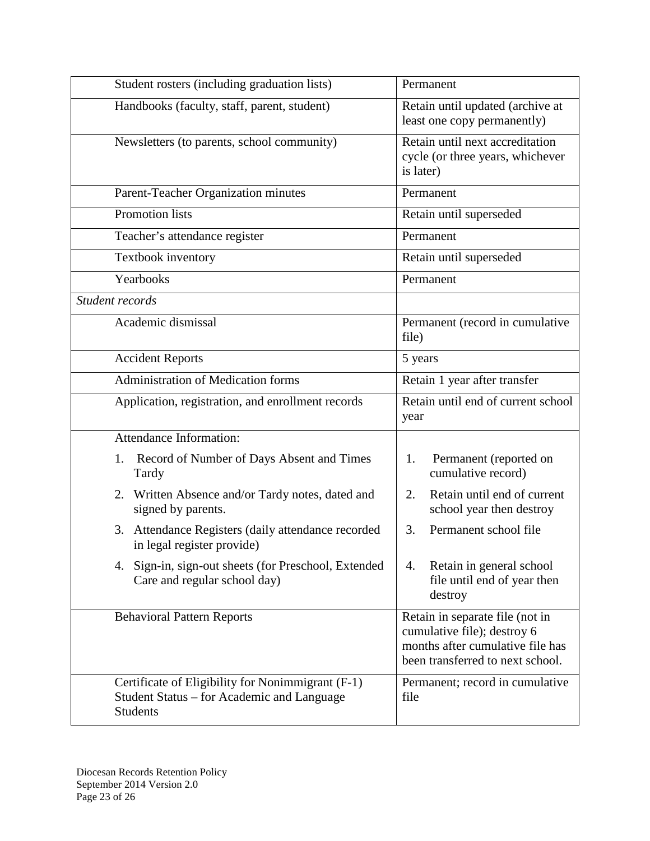| Student rosters (including graduation lists)                                                                       | Permanent                                                                                                                              |
|--------------------------------------------------------------------------------------------------------------------|----------------------------------------------------------------------------------------------------------------------------------------|
| Handbooks (faculty, staff, parent, student)                                                                        | Retain until updated (archive at<br>least one copy permanently)                                                                        |
| Newsletters (to parents, school community)                                                                         | Retain until next accreditation<br>cycle (or three years, whichever<br>is later)                                                       |
| Parent-Teacher Organization minutes                                                                                | Permanent                                                                                                                              |
| <b>Promotion lists</b>                                                                                             | Retain until superseded                                                                                                                |
| Teacher's attendance register                                                                                      | Permanent                                                                                                                              |
| Textbook inventory                                                                                                 | Retain until superseded                                                                                                                |
| Yearbooks                                                                                                          | Permanent                                                                                                                              |
| Student records                                                                                                    |                                                                                                                                        |
| Academic dismissal                                                                                                 | Permanent (record in cumulative<br>file)                                                                                               |
| <b>Accident Reports</b>                                                                                            | 5 years                                                                                                                                |
| Administration of Medication forms                                                                                 | Retain 1 year after transfer                                                                                                           |
| Application, registration, and enrollment records                                                                  | Retain until end of current school<br>year                                                                                             |
| <b>Attendance Information:</b>                                                                                     |                                                                                                                                        |
| Record of Number of Days Absent and Times<br>1.<br>Tardy                                                           | Permanent (reported on<br>1.<br>cumulative record)                                                                                     |
| 2. Written Absence and/or Tardy notes, dated and<br>signed by parents.                                             | Retain until end of current<br>2.<br>school year then destroy                                                                          |
| 3. Attendance Registers (daily attendance recorded<br>in legal register provide)                                   | Permanent school file<br>3.                                                                                                            |
| 4. Sign-in, sign-out sheets (for Preschool, Extended<br>Care and regular school day)                               | Retain in general school<br>4.<br>file until end of year then<br>destroy                                                               |
| <b>Behavioral Pattern Reports</b>                                                                                  | Retain in separate file (not in<br>cumulative file); destroy 6<br>months after cumulative file has<br>been transferred to next school. |
| Certificate of Eligibility for Nonimmigrant (F-1)<br>Student Status – for Academic and Language<br><b>Students</b> | Permanent; record in cumulative<br>file                                                                                                |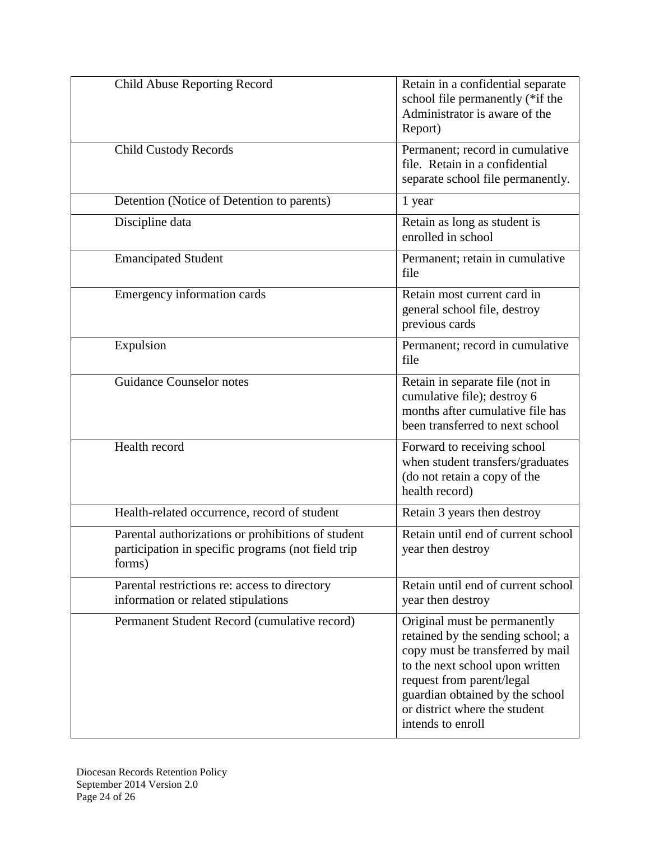| Child Abuse Reporting Record                                                                                       | Retain in a confidential separate<br>school file permanently (*if the<br>Administrator is aware of the<br>Report)                                                                                                                                              |
|--------------------------------------------------------------------------------------------------------------------|----------------------------------------------------------------------------------------------------------------------------------------------------------------------------------------------------------------------------------------------------------------|
| <b>Child Custody Records</b>                                                                                       | Permanent; record in cumulative<br>file. Retain in a confidential<br>separate school file permanently.                                                                                                                                                         |
| Detention (Notice of Detention to parents)                                                                         | 1 year                                                                                                                                                                                                                                                         |
| Discipline data                                                                                                    | Retain as long as student is<br>enrolled in school                                                                                                                                                                                                             |
| <b>Emancipated Student</b>                                                                                         | Permanent; retain in cumulative<br>file                                                                                                                                                                                                                        |
| Emergency information cards                                                                                        | Retain most current card in<br>general school file, destroy<br>previous cards                                                                                                                                                                                  |
| Expulsion                                                                                                          | Permanent; record in cumulative<br>file                                                                                                                                                                                                                        |
| <b>Guidance Counselor notes</b>                                                                                    | Retain in separate file (not in<br>cumulative file); destroy 6<br>months after cumulative file has<br>been transferred to next school                                                                                                                          |
| Health record                                                                                                      | Forward to receiving school<br>when student transfers/graduates<br>(do not retain a copy of the<br>health record)                                                                                                                                              |
| Health-related occurrence, record of student                                                                       | Retain 3 years then destroy                                                                                                                                                                                                                                    |
| Parental authorizations or prohibitions of student<br>participation in specific programs (not field trip<br>forms) | Retain until end of current school<br>year then destroy                                                                                                                                                                                                        |
| Parental restrictions re: access to directory<br>information or related stipulations                               | Retain until end of current school<br>year then destroy                                                                                                                                                                                                        |
| Permanent Student Record (cumulative record)                                                                       | Original must be permanently<br>retained by the sending school; a<br>copy must be transferred by mail<br>to the next school upon written<br>request from parent/legal<br>guardian obtained by the school<br>or district where the student<br>intends to enroll |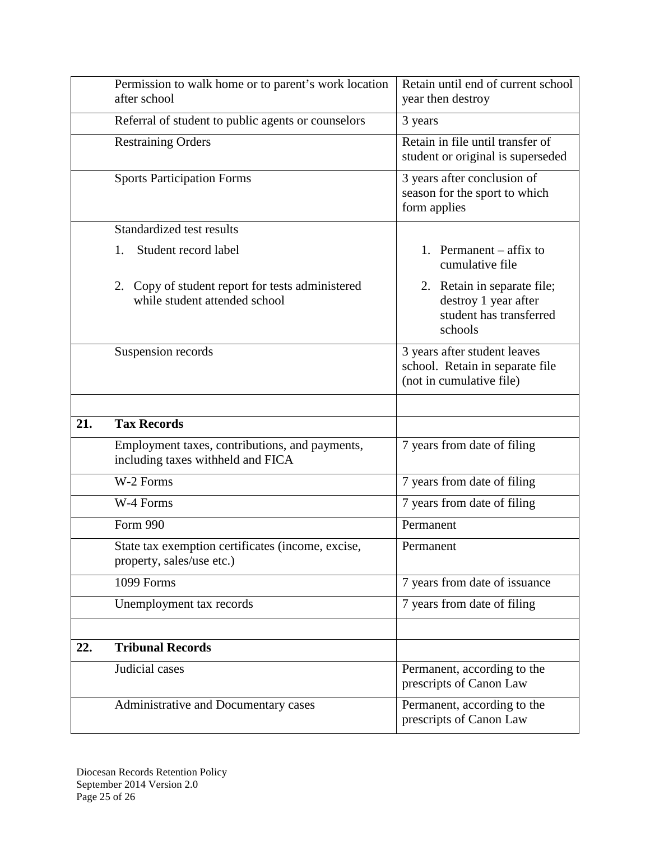|     | Permission to walk home or to parent's work location<br>after school                | Retain until end of current school<br>year then destroy                                     |
|-----|-------------------------------------------------------------------------------------|---------------------------------------------------------------------------------------------|
|     | Referral of student to public agents or counselors                                  | 3 years                                                                                     |
|     | <b>Restraining Orders</b>                                                           | Retain in file until transfer of<br>student or original is superseded                       |
|     | <b>Sports Participation Forms</b>                                                   | 3 years after conclusion of<br>season for the sport to which<br>form applies                |
|     | Standardized test results                                                           |                                                                                             |
|     | Student record label<br>1.                                                          | 1. Permanent $-$ affix to<br>cumulative file                                                |
|     | 2. Copy of student report for tests administered<br>while student attended school   | 2. Retain in separate file;<br>destroy 1 year after<br>student has transferred<br>schools   |
|     | Suspension records                                                                  | 3 years after student leaves<br>school. Retain in separate file<br>(not in cumulative file) |
|     |                                                                                     |                                                                                             |
| 21. | <b>Tax Records</b>                                                                  |                                                                                             |
|     | Employment taxes, contributions, and payments,<br>including taxes withheld and FICA | 7 years from date of filing                                                                 |
|     | W-2 Forms                                                                           | 7 years from date of filing                                                                 |
|     | W-4 Forms                                                                           | 7 years from date of filing                                                                 |
|     | Form 990                                                                            | Permanent                                                                                   |
|     | State tax exemption certificates (income, excise,<br>property, sales/use etc.)      | Permanent                                                                                   |
|     | 1099 Forms                                                                          | 7 years from date of issuance                                                               |
|     | Unemployment tax records                                                            | 7 years from date of filing                                                                 |
|     |                                                                                     |                                                                                             |
| 22. | <b>Tribunal Records</b>                                                             |                                                                                             |
|     | Judicial cases                                                                      | Permanent, according to the<br>prescripts of Canon Law                                      |
|     | Administrative and Documentary cases                                                | Permanent, according to the<br>prescripts of Canon Law                                      |